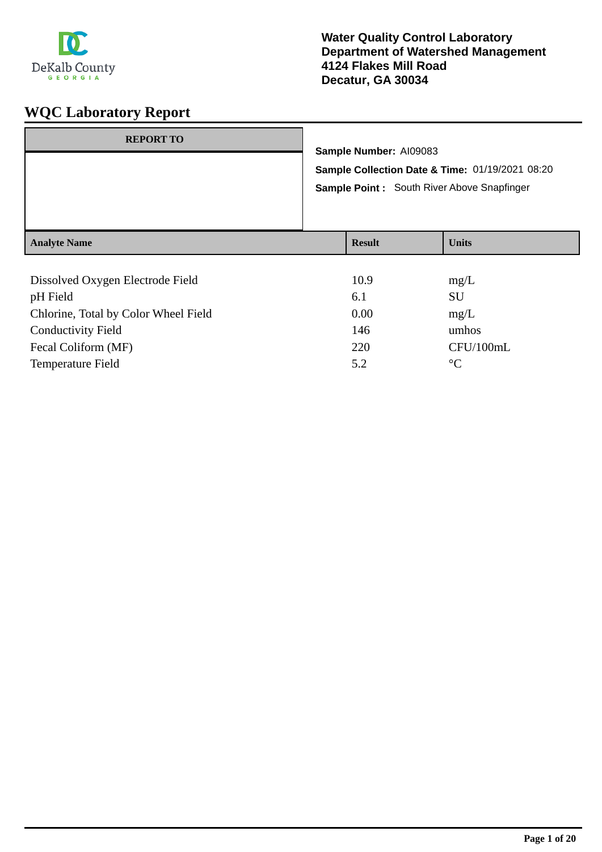

| <b>REPORT TO</b>                             | Sample Number: AI09083<br>Sample Collection Date & Time: 01/19/2021 08:20<br><b>Sample Point:</b> South River Above Snapfinger |               |              |
|----------------------------------------------|--------------------------------------------------------------------------------------------------------------------------------|---------------|--------------|
| <b>Analyte Name</b>                          |                                                                                                                                | <b>Result</b> | <b>Units</b> |
| Dissolved Oxygen Electrode Field<br>pH Field |                                                                                                                                | 10.9<br>6.1   | mg/L<br>SU   |

| pH Field                             | 6.1  | SU        |
|--------------------------------------|------|-----------|
| Chlorine, Total by Color Wheel Field | 0.00 | mg/L      |
| <b>Conductivity Field</b>            | 146  | umhos     |
| Fecal Coliform (MF)                  | 220  | CFU/100mL |
| <b>Temperature Field</b>             | 5.2  | $\circ$   |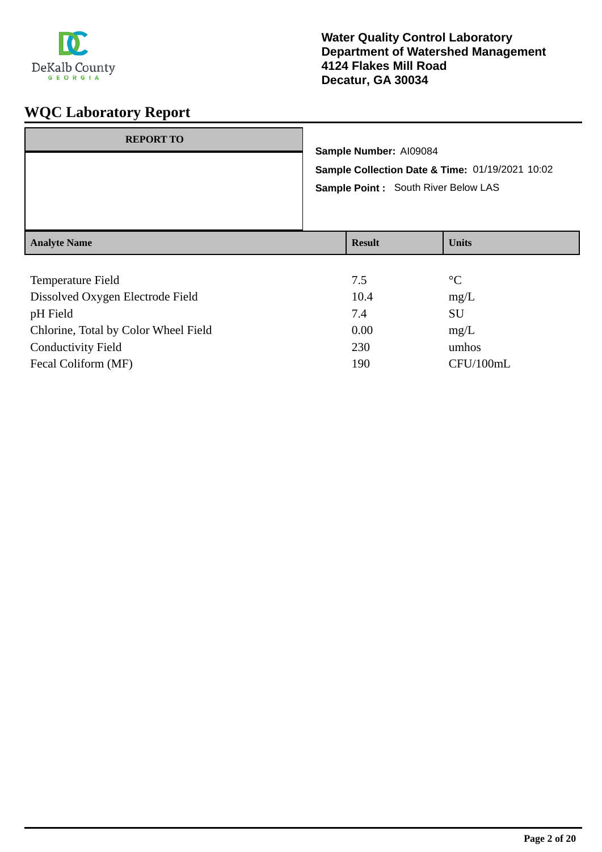

| <b>REPORT TO</b>    | Sample Number: AI09084<br>Sample Point: South River Below LAS | Sample Collection Date & Time: 01/19/2021 10:02 |
|---------------------|---------------------------------------------------------------|-------------------------------------------------|
| <b>Analyte Name</b> | <b>Result</b>                                                 | <b>Units</b>                                    |
|                     |                                                               |                                                 |

| Temperature Field                    | 7.5  | $\rm ^{\circ}C$ |
|--------------------------------------|------|-----------------|
| Dissolved Oxygen Electrode Field     | 10.4 | mg/L            |
| pH Field                             | 7.4  | <b>SU</b>       |
| Chlorine, Total by Color Wheel Field | 0.00 | mg/L            |
| <b>Conductivity Field</b>            | 230  | umhos           |
| Fecal Coliform (MF)                  | 190  | CFU/100mL       |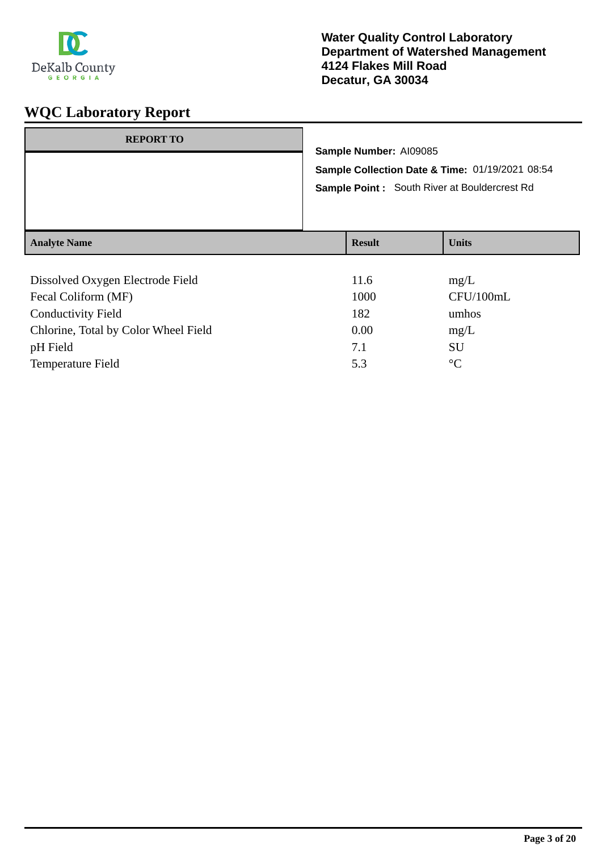

| <b>REPORT TO</b>                 | Sample Number: AI09085 | Sample Collection Date & Time: 01/19/2021 08:54<br><b>Sample Point:</b> South River at Bouldercrest Rd |
|----------------------------------|------------------------|--------------------------------------------------------------------------------------------------------|
| <b>Analyte Name</b>              | <b>Result</b>          | <b>Units</b>                                                                                           |
| Dissolved Oxygen Electrode Field | 11.6                   | mg/L                                                                                                   |

| Fecal Coliform (MF)                  | 1000 | CFU/100mL       |
|--------------------------------------|------|-----------------|
| <b>Conductivity Field</b>            | 182  | umhos           |
| Chlorine, Total by Color Wheel Field | 0.00 | mg/L            |
| pH Field                             | 7.1  | SU              |
| <b>Temperature Field</b>             | 5.3  | $\rm ^{\circ}C$ |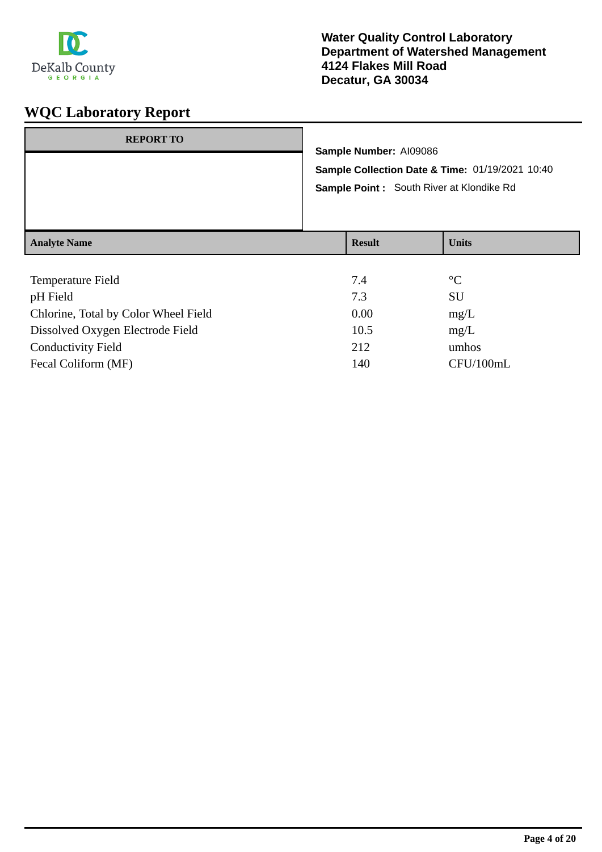

| <b>REPORT TO</b>    |  |                                                                           |                 |  |
|---------------------|--|---------------------------------------------------------------------------|-----------------|--|
|                     |  | Sample Number: AI09086<br>Sample Collection Date & Time: 01/19/2021 10:40 |                 |  |
|                     |  |                                                                           |                 |  |
|                     |  | Sample Point: South River at Klondike Rd                                  |                 |  |
|                     |  |                                                                           |                 |  |
|                     |  |                                                                           |                 |  |
| <b>Analyte Name</b> |  | <b>Result</b>                                                             | <b>Units</b>    |  |
|                     |  |                                                                           |                 |  |
| Temperature Field   |  | 7.4                                                                       | $\rm ^{\circ}C$ |  |
| pH Field            |  | 7.3                                                                       | SU              |  |

| -73  | -SU       |
|------|-----------|
| 0.00 | mg/L      |
| 10.5 | mg/L      |
| 212  | umhos     |
| 140  | CFU/100mL |
|      |           |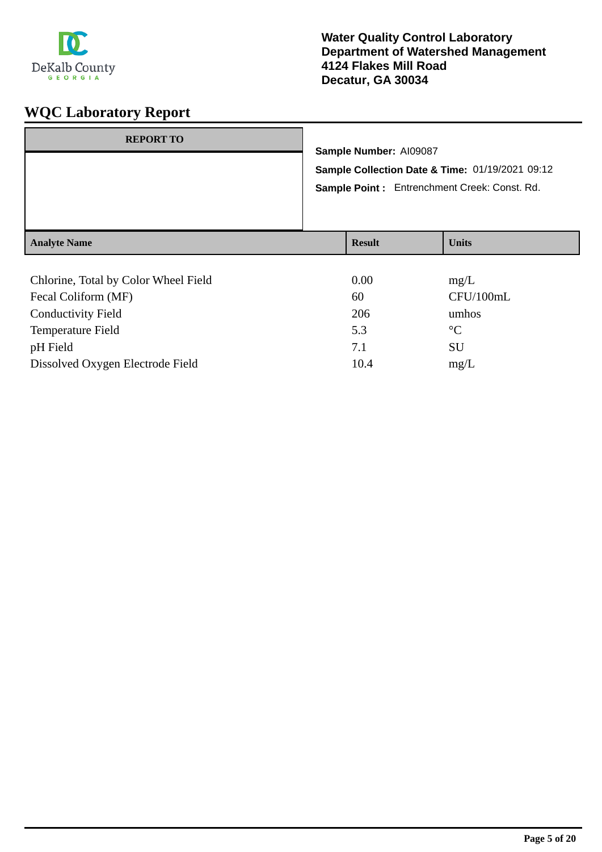

| <b>REPORT TO</b>    | Sample Number: AI09087 | Sample Collection Date & Time: 01/19/2021 09:12<br>Sample Point: Entrenchment Creek: Const. Rd. |
|---------------------|------------------------|-------------------------------------------------------------------------------------------------|
| <b>Analyte Name</b> | <b>Result</b>          | <b>Units</b>                                                                                    |
|                     |                        |                                                                                                 |

| Chlorine, Total by Color Wheel Field | 0.00 | mg/L            |
|--------------------------------------|------|-----------------|
| Fecal Coliform (MF)                  | 60   | CFU/100mL       |
| <b>Conductivity Field</b>            | 206  | umhos           |
| Temperature Field                    | 5.3  | $\rm ^{\circ}C$ |
| pH Field                             | 7.1  | <b>SU</b>       |
| Dissolved Oxygen Electrode Field     | 10.4 | mg/L            |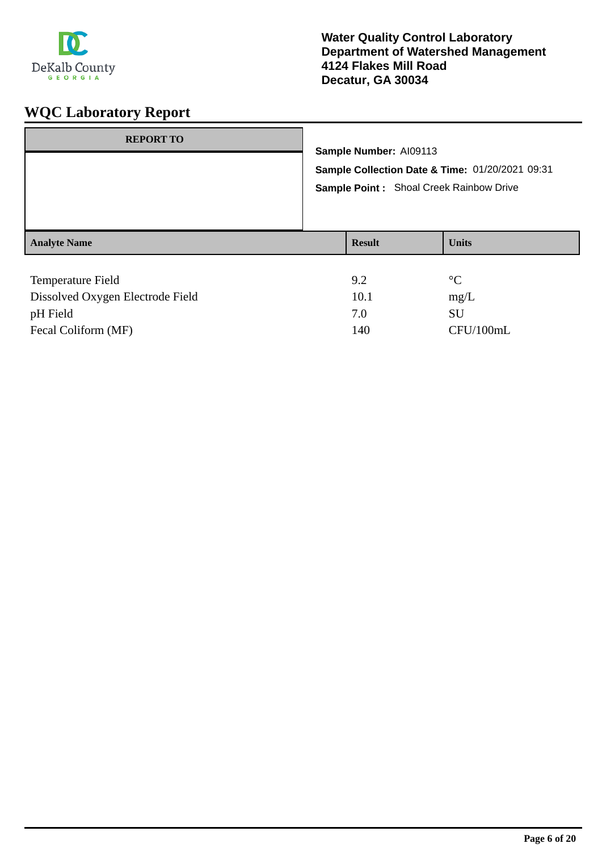

| <b>REPORT TO</b>    | Sample Number: AI09113<br>Sample Collection Date & Time: 01/20/2021 09:31<br>Sample Point: Shoal Creek Rainbow Drive |               |                 |
|---------------------|----------------------------------------------------------------------------------------------------------------------|---------------|-----------------|
| <b>Analyte Name</b> |                                                                                                                      | <b>Result</b> | <b>Units</b>    |
| Temperature Field   |                                                                                                                      | 9.2           | $\rm ^{\circ}C$ |

| Dissolved Oxygen Electrode Field | 10.1 | mg/L      |
|----------------------------------|------|-----------|
| pH Field                         | 7.0  | SU        |
| Fecal Coliform (MF)              | 140  | CFU/100mL |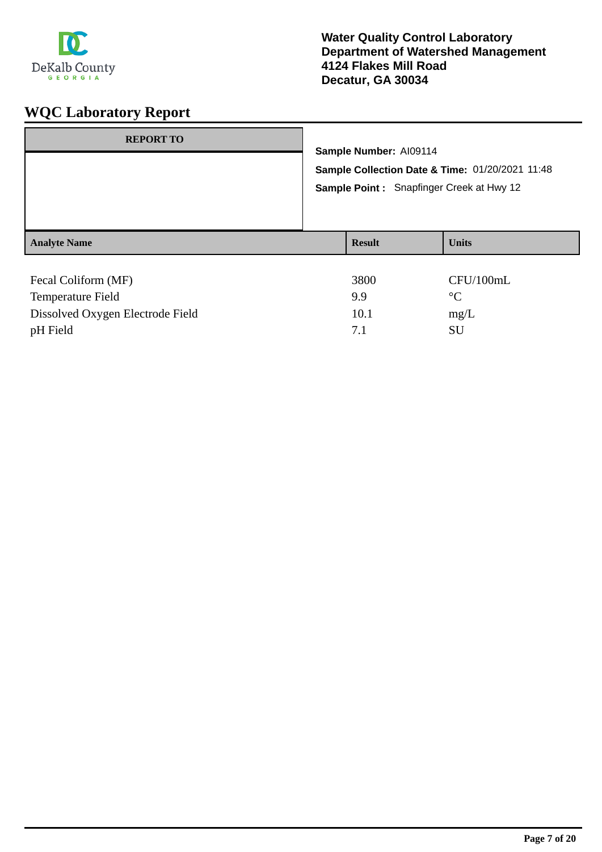

| <b>REPORT TO</b>    | Sample Number: AI09114<br>Sample Collection Date & Time: 01/20/2021 11:48<br>Sample Point: Snapfinger Creek at Hwy 12 |               |              |
|---------------------|-----------------------------------------------------------------------------------------------------------------------|---------------|--------------|
| <b>Analyte Name</b> |                                                                                                                       | <b>Result</b> | <b>Units</b> |
| Fecal Coliform (MF) |                                                                                                                       | 3800          | CFU/100mL    |

| Fecal Coliform (MF)              | 3800 | CFU/100mL |
|----------------------------------|------|-----------|
| Temperature Field                | 99   |           |
| Dissolved Oxygen Electrode Field | 10.1 | mg/L      |
| pH Field                         |      | SU        |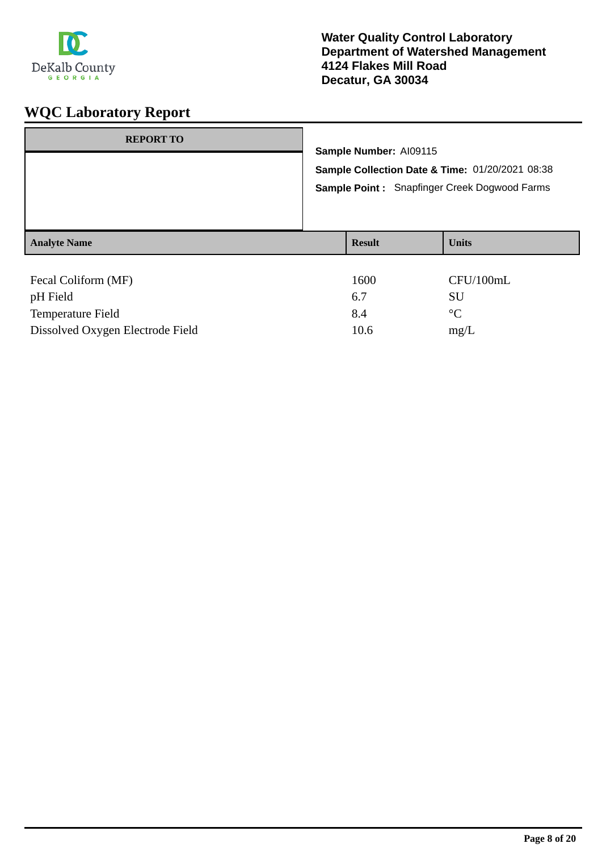

| <b>REPORT TO</b>    | Sample Number: AI09115<br>Sample Collection Date & Time: 01/20/2021 08:38<br>Sample Point: Snapfinger Creek Dogwood Farms |               |                 |
|---------------------|---------------------------------------------------------------------------------------------------------------------------|---------------|-----------------|
| <b>Analyte Name</b> |                                                                                                                           | <b>Result</b> | <b>Units</b>    |
| Fecal Coliform (MF) |                                                                                                                           | 1600          | CFU/100mL       |
|                     |                                                                                                                           | 6.7           | SU              |
| pH Field            |                                                                                                                           |               |                 |
| Temperature Field   |                                                                                                                           | 8.4           | $\rm ^{\circ}C$ |

Dissolved Oxygen Electrode Field 10.6 mg/L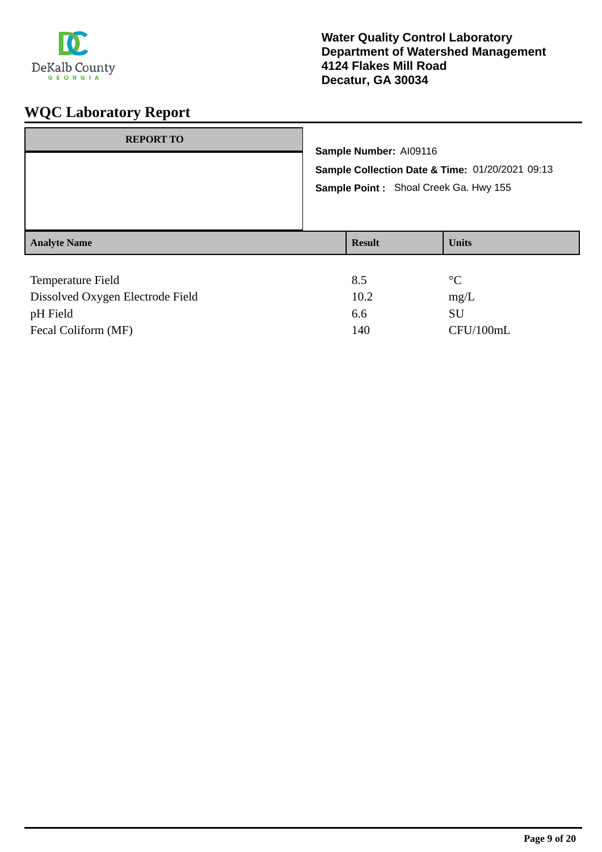

| <b>REPORT TO</b>         | Sample Number: AI09116<br>Sample Collection Date & Time: 01/20/2021 09:13<br>Sample Point: Shoal Creek Ga. Hwy 155 |               |                 |
|--------------------------|--------------------------------------------------------------------------------------------------------------------|---------------|-----------------|
| <b>Analyte Name</b>      |                                                                                                                    | <b>Result</b> | <b>Units</b>    |
| <b>Temperature Field</b> |                                                                                                                    | 8.5           | $\rm ^{\circ}C$ |

| Dissolved Oxygen Electrode Field | 10.2 | mg/L      |
|----------------------------------|------|-----------|
| pH Field                         | 6.6  | SU        |
| Fecal Coliform (MF)              | 140  | CFU/100mL |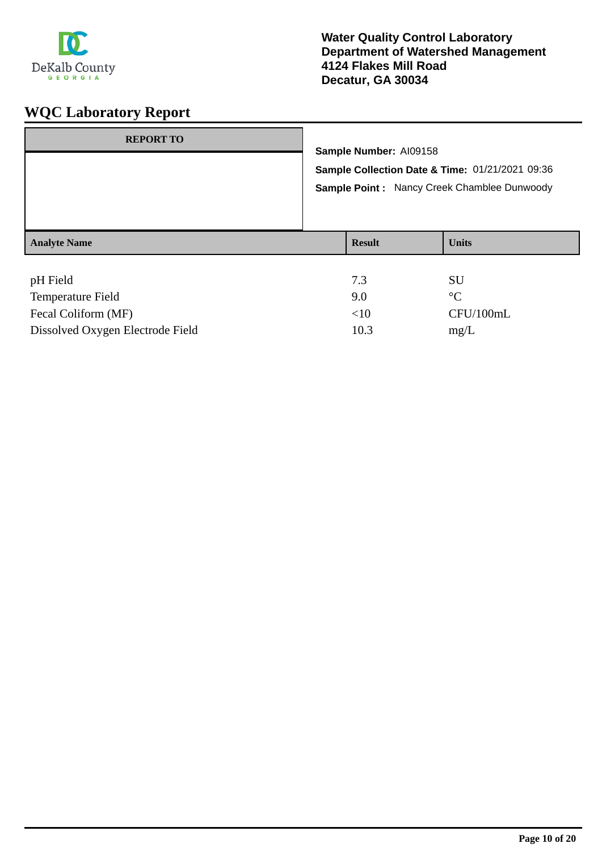

| <b>REPORT TO</b>    | Sample Number: AI09158<br>Sample Collection Date & Time: 01/21/2021 09:36<br>Sample Point: Nancy Creek Chamblee Dunwoody |               |              |
|---------------------|--------------------------------------------------------------------------------------------------------------------------|---------------|--------------|
| <b>Analyte Name</b> |                                                                                                                          | <b>Result</b> | <b>Units</b> |
| pH Field<br>____    |                                                                                                                          | 7.3<br>- -    | SU<br>- -    |

| Temperature Field                | 9.0  | $\circ$ $\sim$ |
|----------------------------------|------|----------------|
| Fecal Coliform (MF)              | <10  | CFU/100mL      |
| Dissolved Oxygen Electrode Field | 10.3 | mg/L           |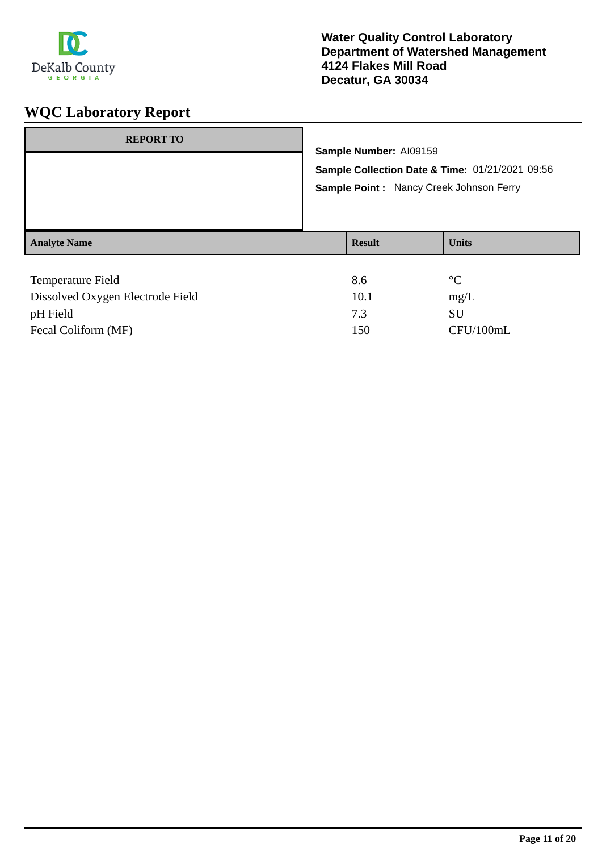

| <b>REPORT TO</b>         | Sample Number: AI09159<br><b>Sample Collection Date &amp; Time: 01/21/2021 09:56</b><br>Sample Point: Nancy Creek Johnson Ferry |               |                 |
|--------------------------|---------------------------------------------------------------------------------------------------------------------------------|---------------|-----------------|
| <b>Analyte Name</b>      |                                                                                                                                 | <b>Result</b> | <b>Units</b>    |
| <b>Temperature Field</b> |                                                                                                                                 | 8.6           | $\rm ^{\circ}C$ |

| Dissolved Oxygen Electrode Field | 10.1 | mg/L      |
|----------------------------------|------|-----------|
| pH Field                         | 73   | SU        |
| Fecal Coliform (MF)              | 150  | CFU/100mL |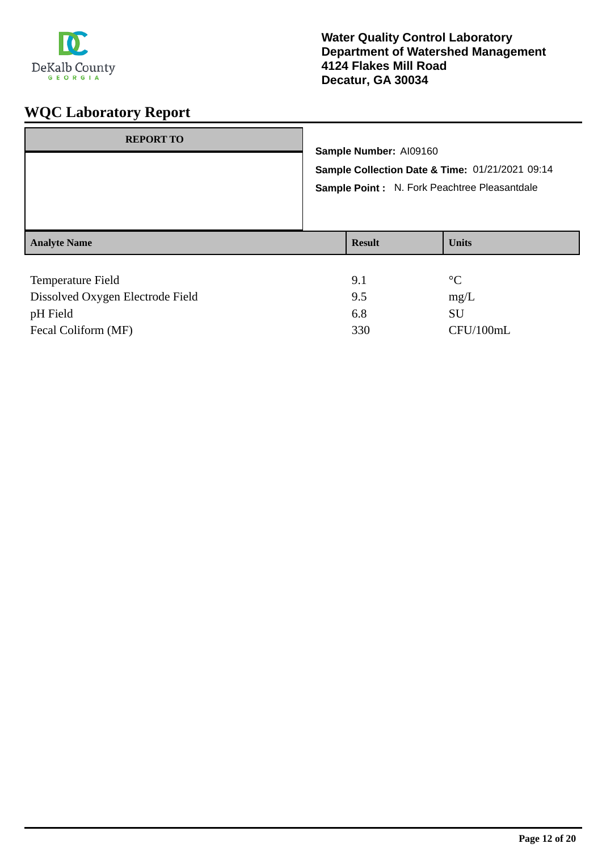

| <b>REPORT TO</b>         |  | Sample Number: AI09160<br>Sample Collection Date & Time: 01/21/2021 09:14 |                 |  |  |
|--------------------------|--|---------------------------------------------------------------------------|-----------------|--|--|
|                          |  |                                                                           |                 |  |  |
|                          |  |                                                                           |                 |  |  |
|                          |  | Sample Point : N. Fork Peachtree Pleasantdale                             |                 |  |  |
| <b>Analyte Name</b>      |  | <b>Result</b>                                                             | <b>Units</b>    |  |  |
|                          |  |                                                                           |                 |  |  |
| <b>Temperature Field</b> |  | 9.1                                                                       | $\rm ^{\circ}C$ |  |  |
| _ . _ . _ _ _ _ _ _      |  |                                                                           |                 |  |  |

| Dissolved Oxygen Electrode Field | 9.5 | mg/L      |
|----------------------------------|-----|-----------|
| pH Field                         | 6.8 | SU        |
| Fecal Coliform (MF)              | 330 | CFU/100mL |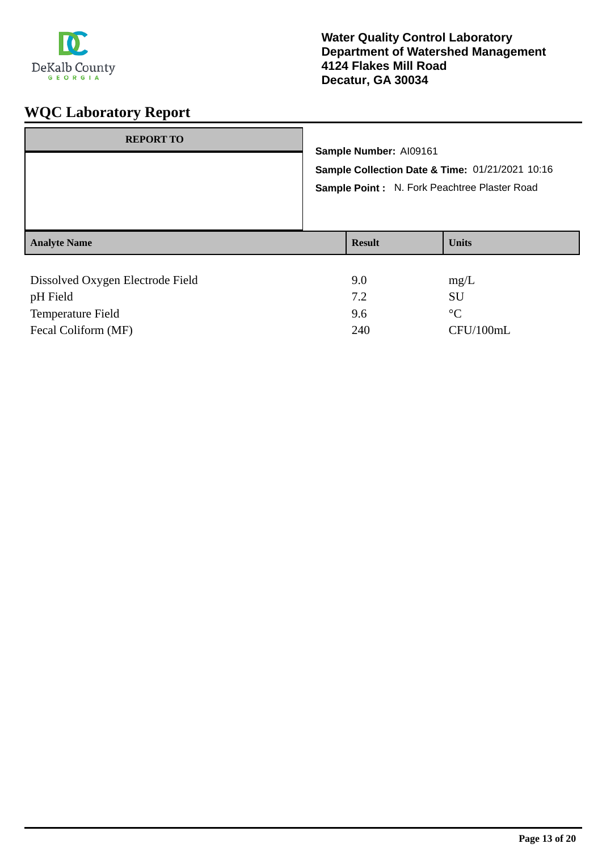

| <b>REPORT TO</b>                 |                        |                                              |                                                 |
|----------------------------------|------------------------|----------------------------------------------|-------------------------------------------------|
|                                  | Sample Number: AI09161 |                                              |                                                 |
|                                  |                        |                                              | Sample Collection Date & Time: 01/21/2021 10:16 |
|                                  |                        | Sample Point: N. Fork Peachtree Plaster Road |                                                 |
|                                  |                        |                                              |                                                 |
|                                  |                        |                                              |                                                 |
| <b>Analyte Name</b>              | <b>Result</b>          | <b>Units</b>                                 |                                                 |
|                                  |                        |                                              |                                                 |
| Dissolved Oxygen Electrode Field | 9.0                    | mg/L                                         |                                                 |
| pH Field                         | 7.2                    | <b>SU</b>                                    |                                                 |

Temperature Field 9.6 °C

Fecal Coliform (MF) 240 CFU/100mL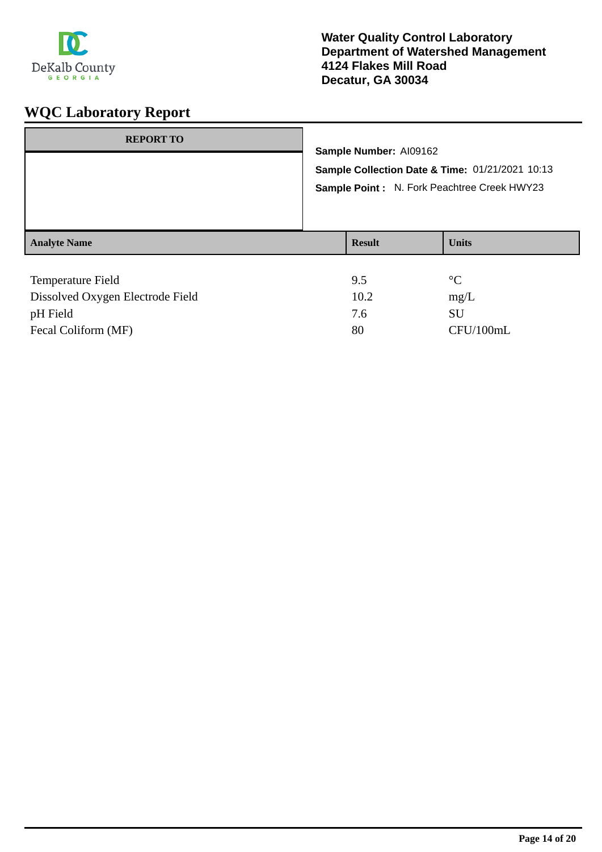

| <b>REPORT TO</b>         | Sample Number: AI09162<br>Sample Collection Date & Time: 01/21/2021 10:13<br>Sample Point: N. Fork Peachtree Creek HWY23 |               |                 |
|--------------------------|--------------------------------------------------------------------------------------------------------------------------|---------------|-----------------|
| <b>Analyte Name</b>      |                                                                                                                          | <b>Result</b> | <b>Units</b>    |
| <b>Temperature Field</b> |                                                                                                                          | 9.5           | $\rm ^{\circ}C$ |

| Dissolved Oxygen Electrode Field | 10.2 | mg/L      |
|----------------------------------|------|-----------|
| pH Field                         | 7.6  | SU.       |
| Fecal Coliform (MF)              | 80   | CFU/100mL |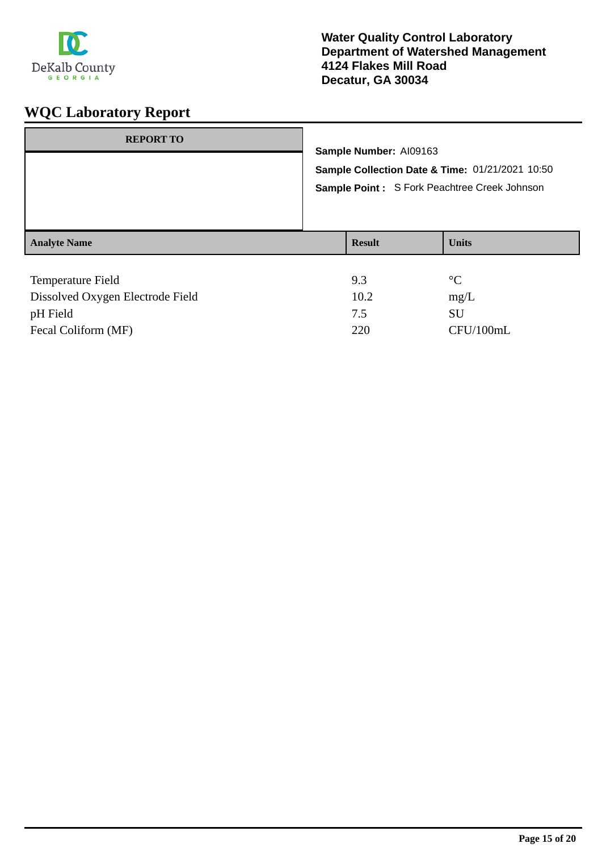

| <b>REPORT TO</b>    | Sample Number: AI09163<br>Sample Collection Date & Time: 01/21/2021 10:50<br>Sample Point: S Fork Peachtree Creek Johnson |               |                 |
|---------------------|---------------------------------------------------------------------------------------------------------------------------|---------------|-----------------|
| <b>Analyte Name</b> |                                                                                                                           | <b>Result</b> | <b>Units</b>    |
| Temperature Field   |                                                                                                                           | 9.3           | $\rm ^{\circ}C$ |

| Dissolved Oxygen Electrode Field | 10.2 | mg/L      |
|----------------------------------|------|-----------|
| pH Field                         |      | SU        |
| Fecal Coliform (MF)              | 220  | CFU/100mL |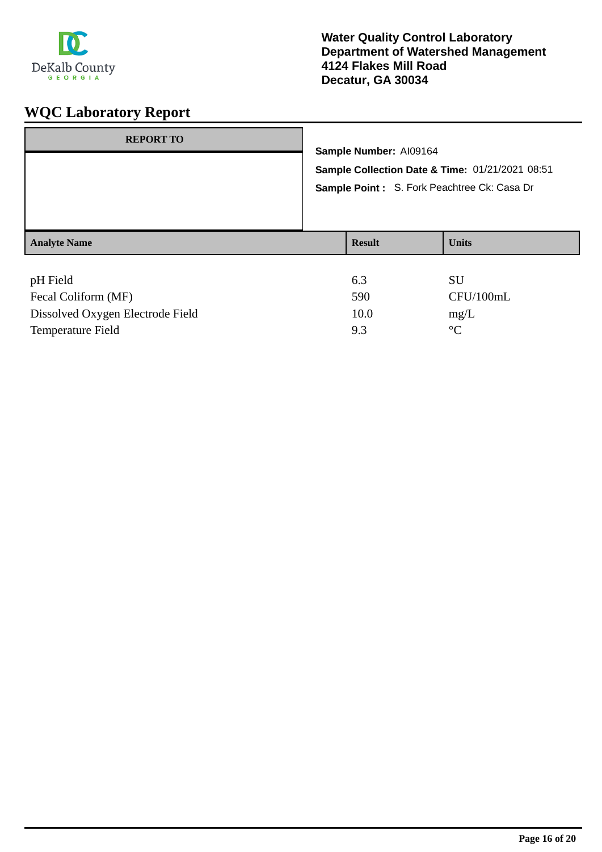

| <b>REPORT TO</b>    | Sample Number: AI09164<br>Sample Collection Date & Time: 01/21/2021 08:51<br>Sample Point: S. Fork Peachtree Ck: Casa Dr |               |              |
|---------------------|--------------------------------------------------------------------------------------------------------------------------|---------------|--------------|
| <b>Analyte Name</b> |                                                                                                                          | <b>Result</b> | <b>Units</b> |
| pH Field            |                                                                                                                          | 6.3           | <b>SU</b>    |

| Fecal Coliform (MF)              | 590   | CFU/100mL   |  |
|----------------------------------|-------|-------------|--|
| Dissolved Oxygen Electrode Field | 10.0  | $m\Omega/L$ |  |
| Temperature Field                | $Q$ 3 | $\circ$ C   |  |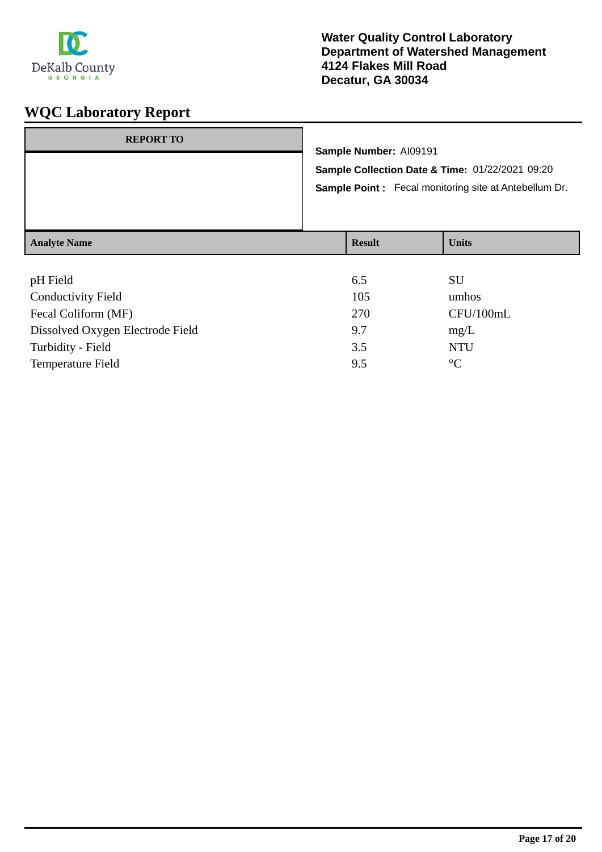

### **Water Quality Control Laboratory Department of Watershed Management 4124 Flakes Mill Road Decatur, GA 30034**

| <b>REPORT TO</b>    | Sample Number: Al09191<br>Sample Collection Date & Time: 01/22/2021 09:20<br><b>Sample Point:</b> Fecal monitoring site at Antebellum Dr. |               |              |
|---------------------|-------------------------------------------------------------------------------------------------------------------------------------------|---------------|--------------|
| <b>Analyte Name</b> |                                                                                                                                           | <b>Result</b> | <b>Units</b> |
|                     |                                                                                                                                           |               |              |

| pH Field                         | 6.5 | SU              |
|----------------------------------|-----|-----------------|
| <b>Conductivity Field</b>        | 105 | umhos           |
| Fecal Coliform (MF)              | 270 | CFU/100mL       |
| Dissolved Oxygen Electrode Field | 9.7 | mg/L            |
| Turbidity - Field                | 3.5 | <b>NTU</b>      |
| <b>Temperature Field</b>         | 9.5 | $\rm ^{\circ}C$ |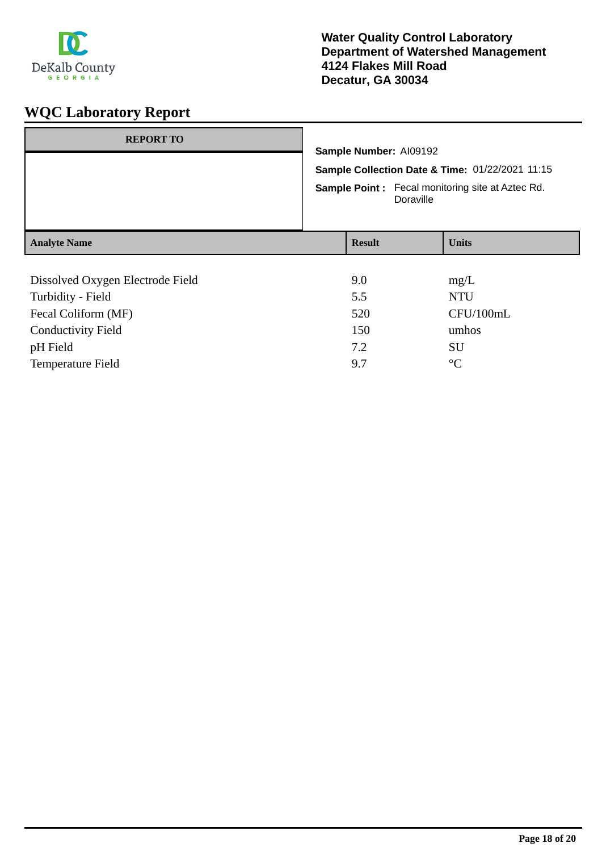

| <b>REPORT TO</b>                 | Sample Number: AI09192<br>Sample Collection Date & Time: 01/22/2021 11:15<br><b>Sample Point:</b> Fecal monitoring site at Aztec Rd.<br>Doraville |  |              |
|----------------------------------|---------------------------------------------------------------------------------------------------------------------------------------------------|--|--------------|
| <b>Analyte Name</b>              | <b>Result</b>                                                                                                                                     |  | <b>Units</b> |
|                                  |                                                                                                                                                   |  |              |
| Dissolved Oxygen Electrode Field | 9.0                                                                                                                                               |  | mg/L         |
| Turbidity - Field                | 5.5                                                                                                                                               |  | <b>NTU</b>   |
| Fecal Coliform (MF)              | 520                                                                                                                                               |  | CFU/100mL    |
| <b>Conductivity Field</b>        | 150                                                                                                                                               |  | umhos        |
| pH Field                         | 7.2                                                                                                                                               |  | SU           |

Temperature Field  $9.7$  °C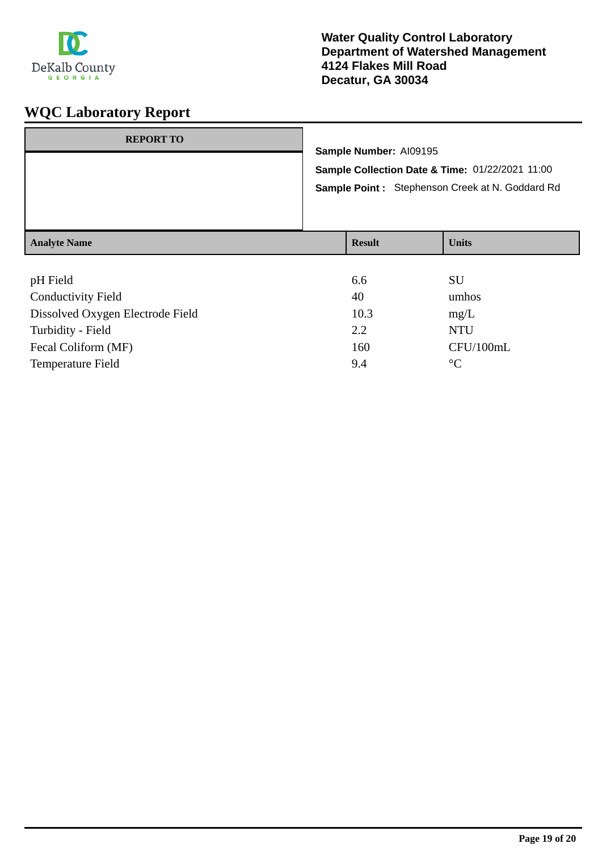

### **Water Quality Control Laboratory Department of Watershed Management 4124 Flakes Mill Road Decatur, GA 30034**

|                     |               | Sample Number: AI09195<br>Sample Collection Date & Time: 01/22/2021 11:00<br>Sample Point: Stephenson Creek at N. Goddard Rd |
|---------------------|---------------|------------------------------------------------------------------------------------------------------------------------------|
| <b>Analyte Name</b> | <b>Result</b> | <b>Units</b>                                                                                                                 |

| pH Field                         | 6.6  | SU              |
|----------------------------------|------|-----------------|
| <b>Conductivity Field</b>        | 40   | umhos           |
| Dissolved Oxygen Electrode Field | 10.3 | mg/L            |
| Turbidity - Field                | 2.2  | <b>NTU</b>      |
| Fecal Coliform (MF)              | 160  | CFU/100mL       |
| <b>Temperature Field</b>         | 9.4  | $\rm ^{\circ}C$ |